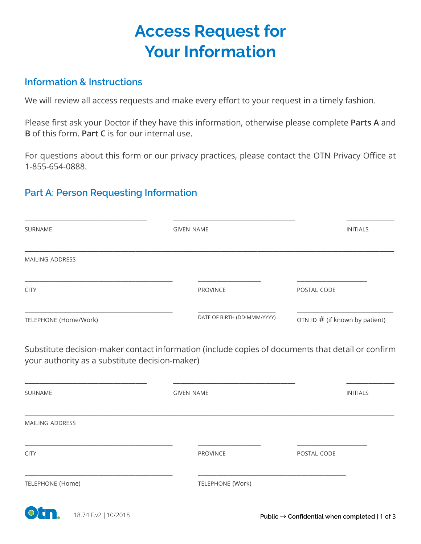# **Access Request for Your Information**

#### **Information & Instructions**

We will review all access requests and make every effort to your request in a timely fashion.

Please first ask your Doctor if they have this information, otherwise please complete **Parts A** and **B** of this form. **Part C** is for our internal use.

For questions about this form or our privacy practices, please contact the OTN Privacy Office at 1-855-654-0888.

### **Part A: Person Requesting Information**

| SURNAME                | <b>GIVEN NAME</b>           | <b>INITIALS</b>                  |
|------------------------|-----------------------------|----------------------------------|
| <b>MAILING ADDRESS</b> |                             |                                  |
| <b>CITY</b>            | <b>PROVINCE</b>             | POSTAL CODE                      |
| TELEPHONE (Home/Work)  | DATE OF BIRTH (DD-MMM/YYYY) | OTN ID $#$ (if known by patient) |

Substitute decision-maker contact information (include copies of documents that detail or confirm your authority as a substitute decision-maker)

| SURNAME          | <b>GIVEN NAME</b> | <b>INITIALS</b> |
|------------------|-------------------|-----------------|
| MAILING ADDRESS  |                   |                 |
| <b>CITY</b>      | <b>PROVINCE</b>   | POSTAL CODE     |
| TELEPHONE (Home) | TELEPHONE (Work)  |                 |

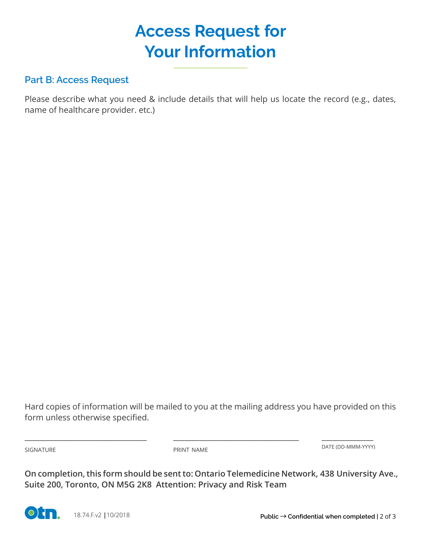# **Access Request for Your Information**

#### **Part B: Access Request**

Please describe what you need & include details that will help us locate the record (e.g., dates, name of healthcare provider. etc.)

Hard copies of information will be mailed to you at the mailing address you have provided on this form unless otherwise specified.

SIGNATURE PRINT NAME

\_\_\_\_\_\_\_\_\_\_\_\_\_\_\_\_\_\_\_\_\_\_\_\_\_\_\_\_\_\_\_\_\_ \_\_\_\_\_\_\_\_\_\_\_\_\_\_\_\_\_\_\_\_\_\_\_\_\_\_\_\_\_\_\_\_\_\_

\_\_\_\_\_\_\_\_\_\_\_\_\_\_ DATE (DD-MMM-YYYY)

**On completion, this form should be sent to: Ontario Telemedicine Network, 438 University Ave., Suite 200, Toronto, ON M5G 2K8 Attention: Privacy and Risk Team**